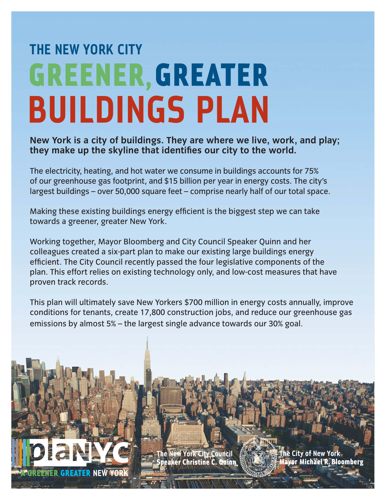## **THE NEW YORK CITYGREENER, GREATER BUILDINGS PLAN**

**New York is a city of buildings. They are where we live, work, and play;**  they make up the skyline that identifies our city to the world.

The electricity, heating, and hot water we consume in buildings accounts for 75% of our greenhouse gas footprint, and \$15 billion per year in energy costs. The city's largest buildings – over 50,000 square feet – comprise nearly half of our total space.

Making these existing buildings energy efficient is the biggest step we can take towards a greener, greater New York.

Working together, Mayor Bloomberg and City Council Speaker Quinn and her colleagues created a six-part plan to make our existing large buildings energy efficient. The City Council recently passed the four legislative components of the plan. This effort relies on existing technology only, and low-cost measures that have proven track records.

This plan will ultimately save New Yorkers \$700 million in energy costs annually, improve conditions for tenants, create 17,800 construction jobs, and reduce our greenhouse gas emissions by almost 5% – the largest single advance towards our 30% goal.

> **New York City Council** aker Christine C. Quinn

A GREENER GREATER **NEW YORK**

**City of New York** Michael R. Bloomb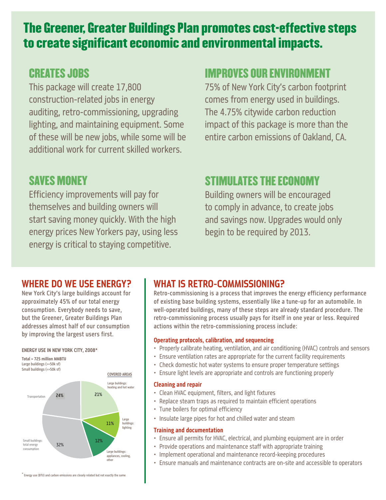## The Greener, Greater Buildings Plan promotes cost-effective steps to create significant economic and environmental impacts.

### CREATES JOBS

This package will create 17,800 construction-related jobs in energy auditing, retro-commissioning, upgrading lighting, and maintaining equipment. Some of these will be new jobs, while some will be additional work for current skilled workers.

### **SAVES MONEY**

Efficiency improvements will pay for themselves and building owners will start saving money quickly. With the high energy prices New Yorkers pay, using less energy is critical to staying competitive.

### IMPROVES OUR ENVIRONMENT

75% of New York City's carbon footprint comes from energy used in buildings. The 4.75% citywide carbon reduction impact of this package is more than the entire carbon emissions of Oakland, CA.

### STIMULATES THE ECONOMY

Building owners will be encouraged to comply in advance, to create jobs and savings now. Upgrades would only begin to be required by 2013.

#### **WHERE DO WE USE ENERGY?**

New York City's large buildings account for approximately 45% of our total energy consumption. Everybody needs to save, but the Greener, Greater Buildings Plan addresses almost half of our consumption by improving the largest users first.

#### **ENERGY USE IN NEW YORK CITY, 2008\***



#### **WHAT IS RETRO-COMMISSIONING?**

Retro-commissioning is a process that improves the energy efficiency performance of existing base building systems, essentially like a tune-up for an automobile. In well-operated buildings, many of these steps are already standard procedure. The retro-commissioning process usually pays for itself in one year or less. Required actions within the retro-commissioning process include:

#### **Operating protocols, calibration, and sequencing**

- Properly calibrate heating, ventilation, and air conditioning (HVAC) controls and sensors
- Ensure ventilation rates are appropriate for the current facility requirements •
- Check domestic hot water systems to ensure proper temperature settings •
- Ensure light levels are appropriate and controls are functioning properly •

#### **Cleaning and repair**

- Clean HVAC equipment, filters, and light fixtures
- Replace steam traps as required to maintain efficient operations
- Tune boilers for optimal efficiency
- Insulate large pipes for hot and chilled water and steam

#### **Training and documentation**

- Ensure all permits for HVAC, electrical, and plumbing equipment are in order •
- Provide operations and maintenance staff with appropriate training •
- Implement operational and maintenance record-keeping procedures •
- Ensure manuals and maintenance contracts are on-site and accessible to operators •

\* Energy use (BTU) and carbon emissions are closely related but not exactly the same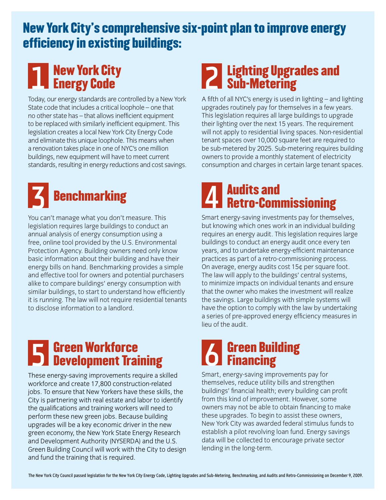## New York City's comprehensive six-point plan to improve energy efficiency in existing buildings:

## **1 New York City<br>2 Energy Code** Energy Code

Today, our energy standards are controlled by a New York State code that includes a critical loophole – one that no other state has – that allows inefficient equipment to be replaced with similarly inefficient equipment. This legislation creates a local New York City Energy Code and eliminate this unique loophole. This means when a renovation takes place in one of NYC's one million buildings, new equipment will have to meet current standards, resulting in energy reductions and cost savings.



You can't manage what you don't measure. This legislation requires large buildings to conduct an annual analysis of energy consumption using a free, online tool provided by the U.S. Environmental Protection Agency. Building owners need only know basic information about their building and have their energy bills on hand. Benchmarking provides a simple and effective tool for owners and potential purchasers alike to compare buildings' energy consumption with similar buildings, to start to understand how efficiently it is running. The law will not require residential tenants to disclose information to a landlord.

# **Fig. 3 Green Workforce Communist Communist Communist Communist Communist Communist Communist Communist Communist Communist Communist Communist Communist Communist Communist Communist Communist Communist Communist Communis**

These energy-saving improvements require a skilled workforce and create 17,800 construction-related jobs. To ensure that New Yorkers have these skills, the City is partnering with real estate and labor to identify the qualifications and training workers will need to perform these new green jobs. Because building upgrades will be a key economic driver in the new green economy, the New York State Energy Research and Development Authority (NYSERDA) and the U.S. Green Building Council will work with the City to design and fund the training that is required.

## 2 Lighting Upgrades and<br>2 Sub-Metering Sub-Metering

A fifth of all NYC's energy is used in lighting – and lighting upgrades routinely pay for themselves in a few years. This legislation requires all large buildings to upgrade their lighting over the next 15 years. The requirement will not apply to residential living spaces. Non-residential tenant spaces over 10,000 square feet are required to be sub-metered by 2025. Sub-metering requires building owners to provide a monthly statement of electricity consumption and charges in certain large tenant spaces.

# Retro-Commissioning

Smart energy-saving investments pay for themselves, but knowing which ones work in an individual building requires an energy audit. This legislation requires large buildings to conduct an energy audit once every ten years, and to undertake energy-efficient maintenance practices as part of a retro-commissioning process. On average, energy audits cost 15¢ per square foot. The law will apply to the buildings' central systems, to minimize impacts on individual tenants and ensure that the owner who makes the investment will realize the savings. Large buildings with simple systems will have the option to comply with the law by undertaking a series of pre-approved energy efficiency measures in lieu of the audit.

# **The Green Building<br>
Only Financing**

Smart, energy-saving improvements pay for themselves, reduce utility bills and strengthen buildings' financial health; every building can profit from this kind of improvement. However, some owners may not be able to obtain financing to make these upgrades. To begin to assist these owners, New York City was awarded federal stimulus funds to establish a pilot revolving loan fund. Energy savings data will be collected to encourage private sector lending in the long-term.